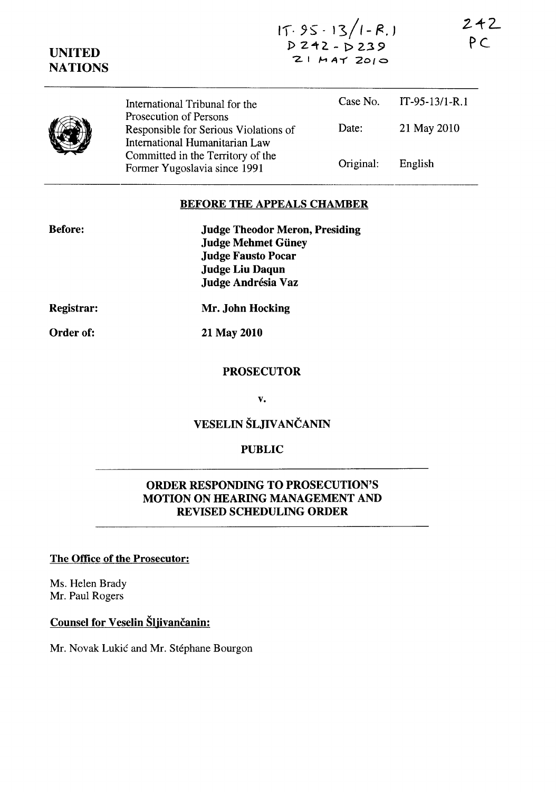| <b>UNITED</b><br><b>NATIONS</b> | $15.95 - 13/1 - R$ .<br>ΡC<br>$2!$ $MAT$ $2010$                                                   |           |                  |
|---------------------------------|---------------------------------------------------------------------------------------------------|-----------|------------------|
|                                 | International Tribunal for the                                                                    | Case No.  | $IT-95-13/1-R.1$ |
|                                 | Prosecution of Persons<br>Responsible for Serious Violations of<br>International Humanitarian Law | Date:     | 21 May 2010      |
|                                 | Committed in the Territory of the<br>Former Yugoslavia since 1991                                 | Original: | English          |

 $242$ 

### BEFORE THE APPEALS CHAMBER

| <b>Judge Theodor Meron, Presiding</b> |
|---------------------------------------|
| <b>Judge Mehmet Güney</b>             |
| <b>Judge Fausto Pocar</b>             |
| <b>Judge Liu Daqun</b>                |
| Judge Andrésia Vaz                    |
|                                       |

Registrar:

Mr. John Hocking

Order of:

21 May 2010

## **PROSECUTOR**

v.

# VESELIN ŠLJIVANČANIN

### PUBLIC

## ORDER RESPONDING TO PROSECUTION'S MOTION ON HEARING MANAGEMENT AND REVISED SCHEDULING ORDER

## The Office of the Prosecutor:

Ms. Helen Brady Mr. Paul Rogers

# Counsel for Veselin Šljivančanin:

Mr. Novak Lukić and Mr. Stéphane Bourgon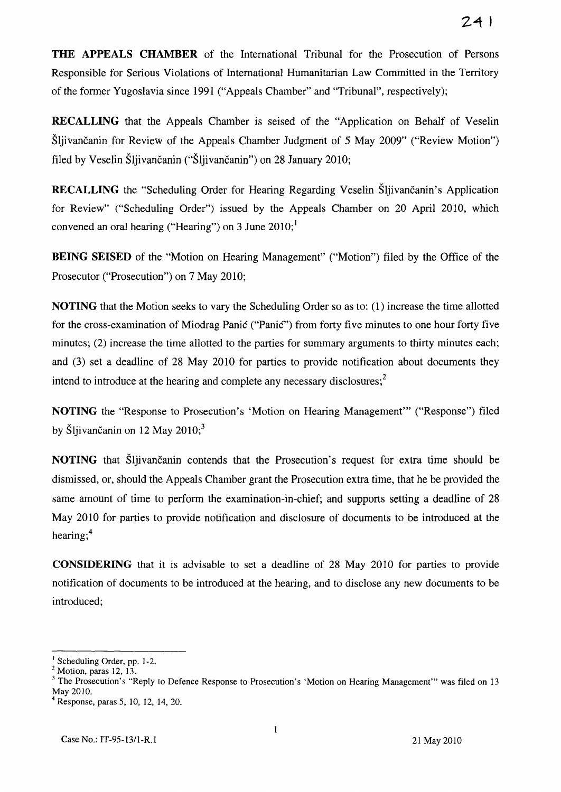**THE APPEALS CHAMBER** of the International Tribunal for the Prosecution of Persons Responsible for Serious Violations of International Humanitarian Law Committed in the Territory of the former Yugoslavia since 1991 ("Appeals Chamber" and "Tribunal", respectively);

**RECALLING** that the Appeals Chamber is seised of the "Application on Behalf of Veselin Šljivančanin for Review of the Appeals Chamber Judgment of 5 May 2009" ("Review Motion") filed by Veselin Šljivančanin ("Šljivančanin") on 28 January 2010;

**RECALLING** the "Scheduling Order for Hearing Regarding Veselin Šljivančanin's Application for Review" ("Scheduling Order") issued by the Appeals Chamber on 20 April 2010, which convened an oral hearing ("Hearing") on 3 June  $2010$ ;<sup>1</sup>

**BEING SEISED** of the "Motion on Hearing Management" ("Motion") filed by the Office of the Prosecutor ("Prosecution") on 7 May 2010;

**NOTING** that the Motion seeks to vary the Scheduling Order so as to: (1) increase the time allotted for the cross-examination of Miodrag Panić ("Panić") from forty five minutes to one hour forty five minutes; (2) increase the time allotted to the parties for summary arguments to thirty minutes each; and (3) set a deadline of 28 May 2010 for parties to provide notification about documents they intend to introduce at the hearing and complete any necessary disclosures; $<sup>2</sup>$ </sup>

**NOTING** the "Response to Prosecution's 'Motion on Hearing Management'" ("Response") filed by Šljivančanin on 12 May  $2010$ ;<sup>3</sup>

**NOTING** that Šljivančanin contends that the Prosecution's request for extra time should be dismissed, or, should the Appeals Chamber grant the Prosecution extra time, that he be provided the same amount of time to perform the examination-in-chief; and supports setting a deadline of 28 May 2010 for parties to provide notification and disclosure of documents to be introduced at the hearing;<sup>4</sup>

**CONSIDERING** that it is advisable to set a deadline of 28 May 2010 for parties to provide notification of documents to be introduced at the hearing, and to disclose any new documents to be introduced;

<sup>&</sup>lt;sup>1</sup> Scheduling Order, pp. 1-2.

 $<sup>2</sup>$  Motion, paras 12, 13.</sup>

The Prosecution's "Reply to Defence Response to Prosecution's 'Motion on Hearing Management'" was filed on 13 May 2010.

Response, paras 5, 10, 12, 14, 20.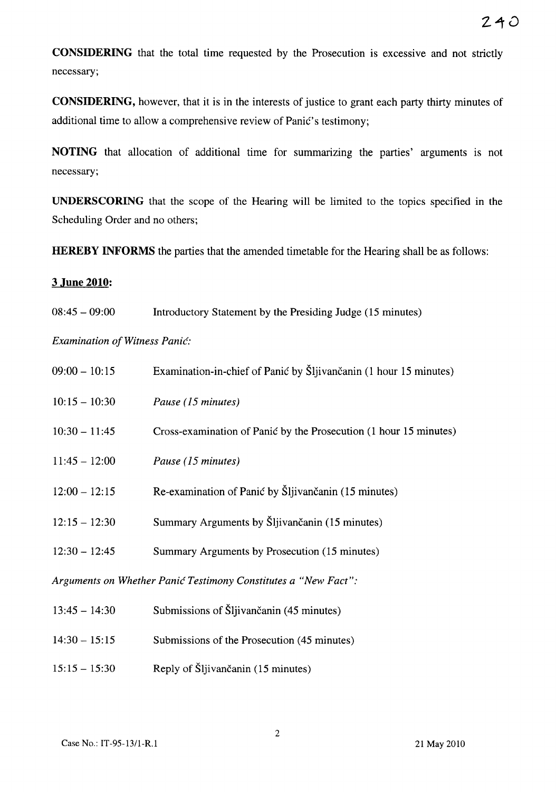**CONSIDERING** that the total time requested by the Prosecution is excessive and not strictly necessary;

**CONSIDERING,** however, that it is in the interests of justice to grant each party thirty minutes of additional time to allow a comprehensive review of Panić's testimony;

NOTING that allocation of additional time for summarizing the parties' arguments is not necessary;

**UNDERSCORING** that the scope of the Hearing will be limited to the topics specified in the Scheduling Order and no others;

**HEREBY INFORMS** the parties that the amended timetable for the Hearing shall be as follows:

#### 3 **June 2010:**

08:45 - 09:00 Introductory Statement by the Presiding Judge (15 minutes)

*Examination of Witness* Panić:

| $09:00 - 10:15$                                                | Examination-in-chief of Panić by Šljivančanin (1 hour 15 minutes) |  |  |
|----------------------------------------------------------------|-------------------------------------------------------------------|--|--|
| $10:15 - 10:30$                                                | Pause (15 minutes)                                                |  |  |
| $10:30 - 11:45$                                                | Cross-examination of Panić by the Prosecution (1 hour 15 minutes) |  |  |
| $11:45 - 12:00$                                                | Pause (15 minutes)                                                |  |  |
| $12:00 - 12:15$                                                | Re-examination of Panić by Šljivančanin (15 minutes)              |  |  |
| $12:15 - 12:30$                                                | Summary Arguments by Šljivančanin (15 minutes)                    |  |  |
| $12:30 - 12:45$                                                | Summary Arguments by Prosecution (15 minutes)                     |  |  |
| Arguments on Whether Panić Testimony Constitutes a "New Fact": |                                                                   |  |  |

| $13:45 - 14:30$ | Submissions of Sliivančanin (45 minutes)    |
|-----------------|---------------------------------------------|
| $14:30 - 15:15$ | Submissions of the Prosecution (45 minutes) |
| $15:15 - 15:30$ | Reply of Šljivančanin (15 minutes)          |

 $\ddot{\phantom{a}}$